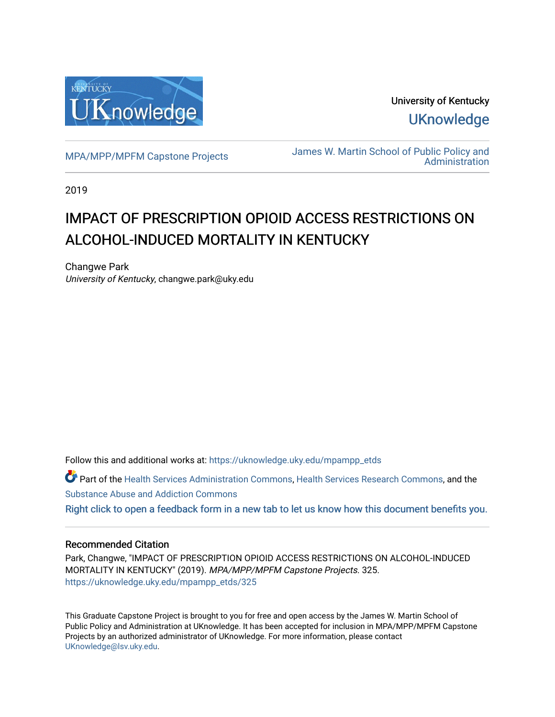

University of Kentucky **UKnowledge** 

[MPA/MPP/MPFM Capstone Projects](https://uknowledge.uky.edu/mpampp_etds) James W. Martin School of Public Policy and **Administration** 

2019

# IMPACT OF PRESCRIPTION OPIOID ACCESS RESTRICTIONS ON ALCOHOL-INDUCED MORTALITY IN KENTUCKY

Changwe Park University of Kentucky, changwe.park@uky.edu

Follow this and additional works at: [https://uknowledge.uky.edu/mpampp\\_etds](https://uknowledge.uky.edu/mpampp_etds?utm_source=uknowledge.uky.edu%2Fmpampp_etds%2F325&utm_medium=PDF&utm_campaign=PDFCoverPages)

Part of the [Health Services Administration Commons,](http://network.bepress.com/hgg/discipline/747?utm_source=uknowledge.uky.edu%2Fmpampp_etds%2F325&utm_medium=PDF&utm_campaign=PDFCoverPages) [Health Services Research Commons,](http://network.bepress.com/hgg/discipline/816?utm_source=uknowledge.uky.edu%2Fmpampp_etds%2F325&utm_medium=PDF&utm_campaign=PDFCoverPages) and the [Substance Abuse and Addiction Commons](http://network.bepress.com/hgg/discipline/710?utm_source=uknowledge.uky.edu%2Fmpampp_etds%2F325&utm_medium=PDF&utm_campaign=PDFCoverPages) 

## [Right click to open a feedback form in a new tab to let us know how this document benefits you.](https://uky.az1.qualtrics.com/jfe/form/SV_9mq8fx2GnONRfz7)

#### Recommended Citation

Park, Changwe, "IMPACT OF PRESCRIPTION OPIOID ACCESS RESTRICTIONS ON ALCOHOL-INDUCED MORTALITY IN KENTUCKY" (2019). MPA/MPP/MPFM Capstone Projects. 325. [https://uknowledge.uky.edu/mpampp\\_etds/325](https://uknowledge.uky.edu/mpampp_etds/325?utm_source=uknowledge.uky.edu%2Fmpampp_etds%2F325&utm_medium=PDF&utm_campaign=PDFCoverPages)

This Graduate Capstone Project is brought to you for free and open access by the James W. Martin School of Public Policy and Administration at UKnowledge. It has been accepted for inclusion in MPA/MPP/MPFM Capstone Projects by an authorized administrator of UKnowledge. For more information, please contact [UKnowledge@lsv.uky.edu.](mailto:UKnowledge@lsv.uky.edu)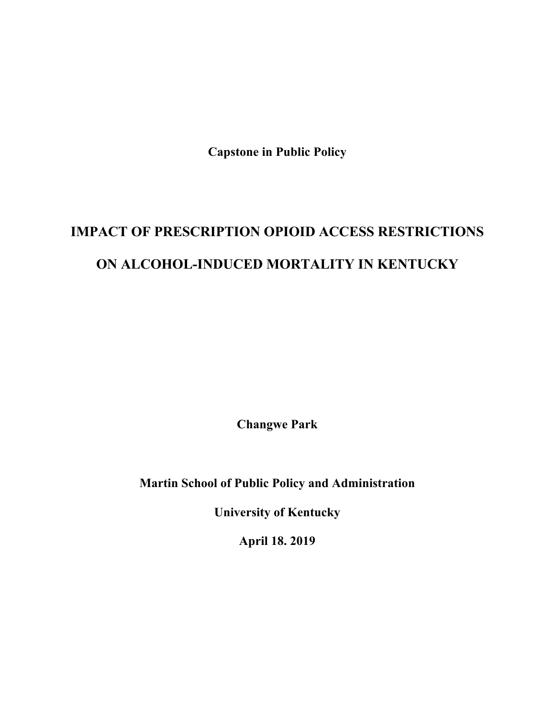**Capstone in Public Policy**

# **IMPACT OF PRESCRIPTION OPIOID ACCESS RESTRICTIONS ON ALCOHOL-INDUCED MORTALITY IN KENTUCKY**

**Changwe Park**

**Martin School of Public Policy and Administration**

**University of Kentucky**

**April 18. 2019**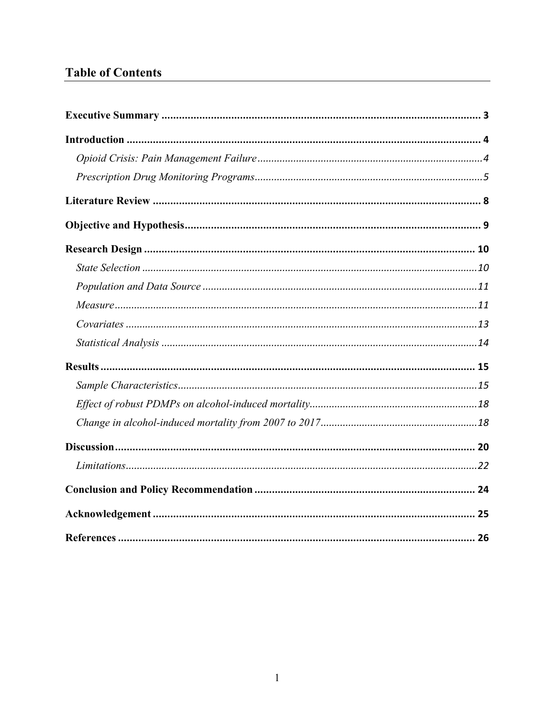# **Table of Contents**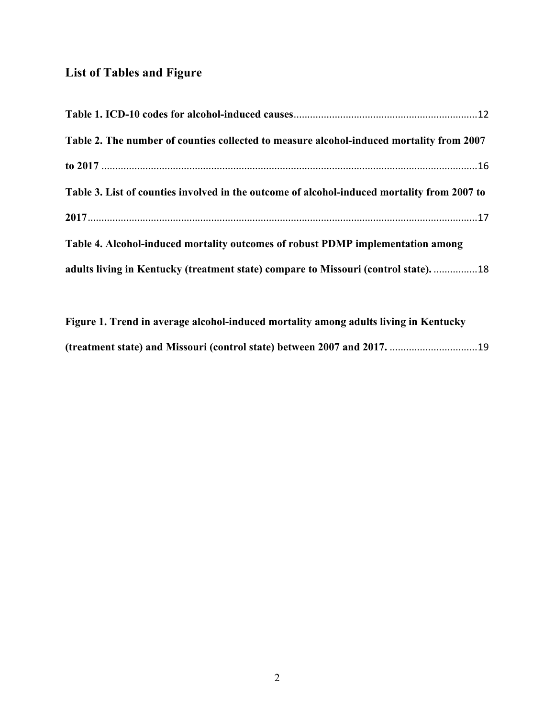# **List of Tables and Figure**

| Table 2. The number of counties collected to measure alcohol-induced mortality from 2007    |  |
|---------------------------------------------------------------------------------------------|--|
|                                                                                             |  |
| Table 3. List of counties involved in the outcome of alcohol-induced mortality from 2007 to |  |
|                                                                                             |  |
| Table 4. Alcohol-induced mortality outcomes of robust PDMP implementation among             |  |
| adults living in Kentucky (treatment state) compare to Missouri (control state). 18         |  |

**Figure 1. Trend in average alcohol-induced mortality among adults living in Kentucky (treatment state) and Missouri (control state) between 2007 and 2017.** ................................19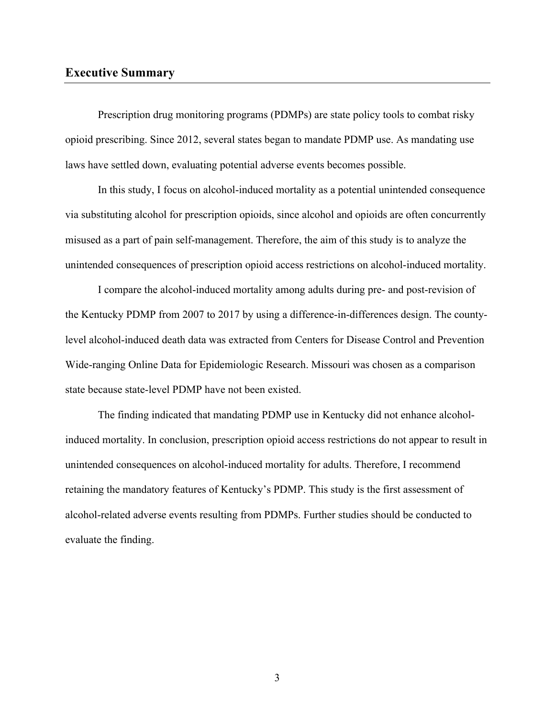#### **Executive Summary**

Prescription drug monitoring programs (PDMPs) are state policy tools to combat risky opioid prescribing. Since 2012, several states began to mandate PDMP use. As mandating use laws have settled down, evaluating potential adverse events becomes possible.

In this study, I focus on alcohol-induced mortality as a potential unintended consequence via substituting alcohol for prescription opioids, since alcohol and opioids are often concurrently misused as a part of pain self-management. Therefore, the aim of this study is to analyze the unintended consequences of prescription opioid access restrictions on alcohol-induced mortality.

I compare the alcohol-induced mortality among adults during pre- and post-revision of the Kentucky PDMP from 2007 to 2017 by using a difference-in-differences design. The countylevel alcohol-induced death data was extracted from Centers for Disease Control and Prevention Wide-ranging Online Data for Epidemiologic Research. Missouri was chosen as a comparison state because state-level PDMP have not been existed.

The finding indicated that mandating PDMP use in Kentucky did not enhance alcoholinduced mortality. In conclusion, prescription opioid access restrictions do not appear to result in unintended consequences on alcohol-induced mortality for adults. Therefore, I recommend retaining the mandatory features of Kentucky's PDMP. This study is the first assessment of alcohol-related adverse events resulting from PDMPs. Further studies should be conducted to evaluate the finding.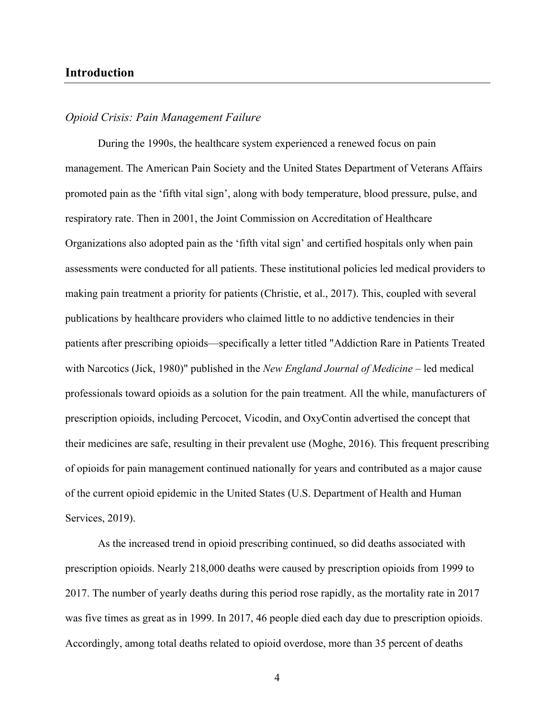#### **Introduction**

#### *Opioid Crisis: Pain Management Failure*

During the 1990s, the healthcare system experienced a renewed focus on pain management. The American Pain Society and the United States Department of Veterans Affairs promoted pain as the 'fifth vital sign', along with body temperature, blood pressure, pulse, and respiratory rate. Then in 2001, the Joint Commission on Accreditation of Healthcare Organizations also adopted pain as the 'fifth vital sign' and certified hospitals only when pain assessments were conducted for all patients. These institutional policies led medical providers to making pain treatment a priority for patients (Christie, et al., 2017). This, coupled with several publications by healthcare providers who claimed little to no addictive tendencies in their patients after prescribing opioids—specifically a letter titled "Addiction Rare in Patients Treated with Narcotics (Jick, 1980)" published in the *New England Journal of Medicine* – led medical professionals toward opioids as a solution for the pain treatment. All the while, manufacturers of prescription opioids, including Percocet, Vicodin, and OxyContin advertised the concept that their medicines are safe, resulting in their prevalent use (Moghe, 2016). This frequent prescribing of opioids for pain management continued nationally for years and contributed as a major cause of the current opioid epidemic in the United States (U.S. Department of Health and Human Services, 2019).

As the increased trend in opioid prescribing continued, so did deaths associated with prescription opioids. Nearly 218,000 deaths were caused by prescription opioids from 1999 to 2017. The number of yearly deaths during this period rose rapidly, as the mortality rate in 2017 was five times as great as in 1999. In 2017, 46 people died each day due to prescription opioids. Accordingly, among total deaths related to opioid overdose, more than 35 percent of deaths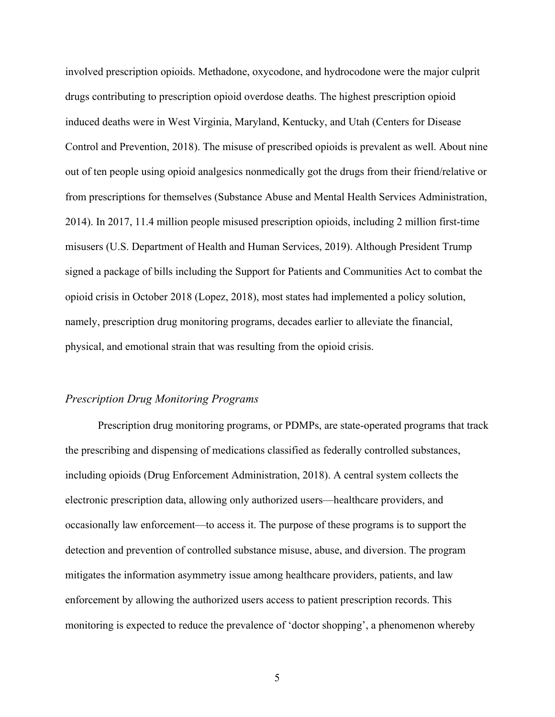involved prescription opioids. Methadone, oxycodone, and hydrocodone were the major culprit drugs contributing to prescription opioid overdose deaths. The highest prescription opioid induced deaths were in West Virginia, Maryland, Kentucky, and Utah (Centers for Disease Control and Prevention, 2018). The misuse of prescribed opioids is prevalent as well. About nine out of ten people using opioid analgesics nonmedically got the drugs from their friend/relative or from prescriptions for themselves (Substance Abuse and Mental Health Services Administration, 2014). In 2017, 11.4 million people misused prescription opioids, including 2 million first-time misusers (U.S. Department of Health and Human Services, 2019). Although President Trump signed a package of bills including the Support for Patients and Communities Act to combat the opioid crisis in October 2018 (Lopez, 2018), most states had implemented a policy solution, namely, prescription drug monitoring programs, decades earlier to alleviate the financial, physical, and emotional strain that was resulting from the opioid crisis.

#### *Prescription Drug Monitoring Programs*

Prescription drug monitoring programs, or PDMPs, are state-operated programs that track the prescribing and dispensing of medications classified as federally controlled substances, including opioids (Drug Enforcement Administration, 2018). A central system collects the electronic prescription data, allowing only authorized users—healthcare providers, and occasionally law enforcement—to access it. The purpose of these programs is to support the detection and prevention of controlled substance misuse, abuse, and diversion. The program mitigates the information asymmetry issue among healthcare providers, patients, and law enforcement by allowing the authorized users access to patient prescription records. This monitoring is expected to reduce the prevalence of 'doctor shopping', a phenomenon whereby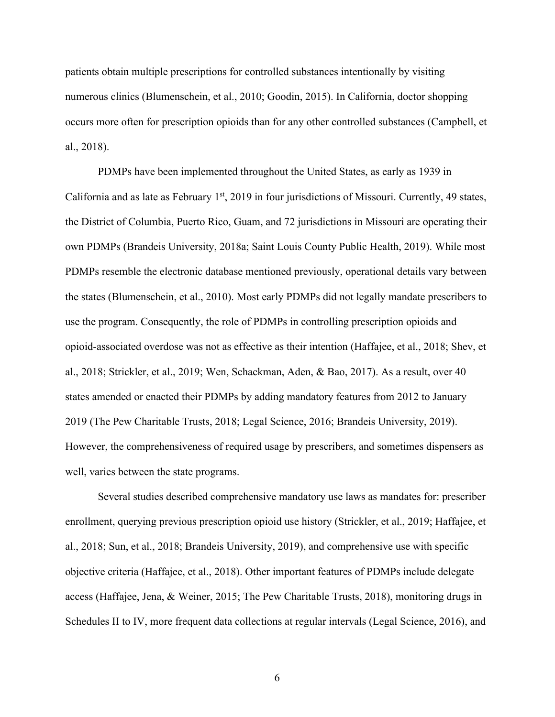patients obtain multiple prescriptions for controlled substances intentionally by visiting numerous clinics (Blumenschein, et al., 2010; Goodin, 2015). In California, doctor shopping occurs more often for prescription opioids than for any other controlled substances (Campbell, et al., 2018).

PDMPs have been implemented throughout the United States, as early as 1939 in California and as late as February  $1<sup>st</sup>$ , 2019 in four jurisdictions of Missouri. Currently, 49 states, the District of Columbia, Puerto Rico, Guam, and 72 jurisdictions in Missouri are operating their own PDMPs (Brandeis University, 2018a; Saint Louis County Public Health, 2019). While most PDMPs resemble the electronic database mentioned previously, operational details vary between the states (Blumenschein, et al., 2010). Most early PDMPs did not legally mandate prescribers to use the program. Consequently, the role of PDMPs in controlling prescription opioids and opioid-associated overdose was not as effective as their intention (Haffajee, et al., 2018; Shev, et al., 2018; Strickler, et al., 2019; Wen, Schackman, Aden, & Bao, 2017). As a result, over 40 states amended or enacted their PDMPs by adding mandatory features from 2012 to January 2019 (The Pew Charitable Trusts, 2018; Legal Science, 2016; Brandeis University, 2019). However, the comprehensiveness of required usage by prescribers, and sometimes dispensers as well, varies between the state programs.

Several studies described comprehensive mandatory use laws as mandates for: prescriber enrollment, querying previous prescription opioid use history (Strickler, et al., 2019; Haffajee, et al., 2018; Sun, et al., 2018; Brandeis University, 2019), and comprehensive use with specific objective criteria (Haffajee, et al., 2018). Other important features of PDMPs include delegate access (Haffajee, Jena, & Weiner, 2015; The Pew Charitable Trusts, 2018), monitoring drugs in Schedules II to IV, more frequent data collections at regular intervals (Legal Science, 2016), and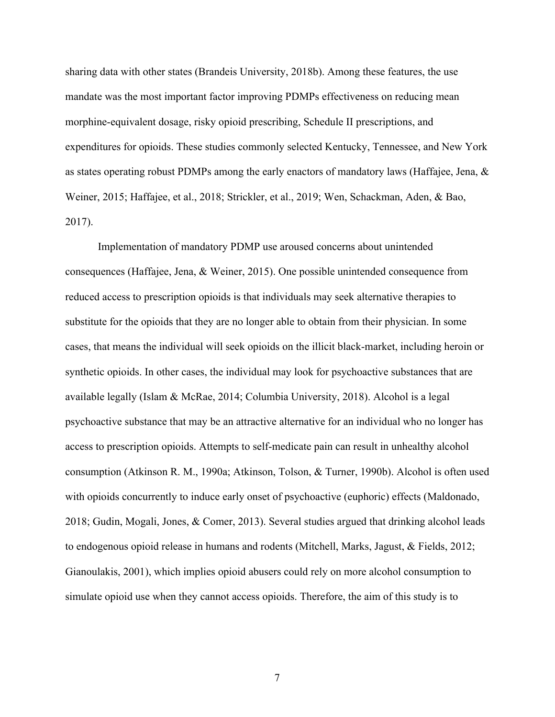sharing data with other states (Brandeis University, 2018b). Among these features, the use mandate was the most important factor improving PDMPs effectiveness on reducing mean morphine-equivalent dosage, risky opioid prescribing, Schedule II prescriptions, and expenditures for opioids. These studies commonly selected Kentucky, Tennessee, and New York as states operating robust PDMPs among the early enactors of mandatory laws (Haffajee, Jena, & Weiner, 2015; Haffajee, et al., 2018; Strickler, et al., 2019; Wen, Schackman, Aden, & Bao, 2017).

Implementation of mandatory PDMP use aroused concerns about unintended consequences (Haffajee, Jena, & Weiner, 2015). One possible unintended consequence from reduced access to prescription opioids is that individuals may seek alternative therapies to substitute for the opioids that they are no longer able to obtain from their physician. In some cases, that means the individual will seek opioids on the illicit black-market, including heroin or synthetic opioids. In other cases, the individual may look for psychoactive substances that are available legally (Islam & McRae, 2014; Columbia University, 2018). Alcohol is a legal psychoactive substance that may be an attractive alternative for an individual who no longer has access to prescription opioids. Attempts to self-medicate pain can result in unhealthy alcohol consumption (Atkinson R. M., 1990a; Atkinson, Tolson, & Turner, 1990b). Alcohol is often used with opioids concurrently to induce early onset of psychoactive (euphoric) effects (Maldonado, 2018; Gudin, Mogali, Jones, & Comer, 2013). Several studies argued that drinking alcohol leads to endogenous opioid release in humans and rodents (Mitchell, Marks, Jagust, & Fields, 2012; Gianoulakis, 2001), which implies opioid abusers could rely on more alcohol consumption to simulate opioid use when they cannot access opioids. Therefore, the aim of this study is to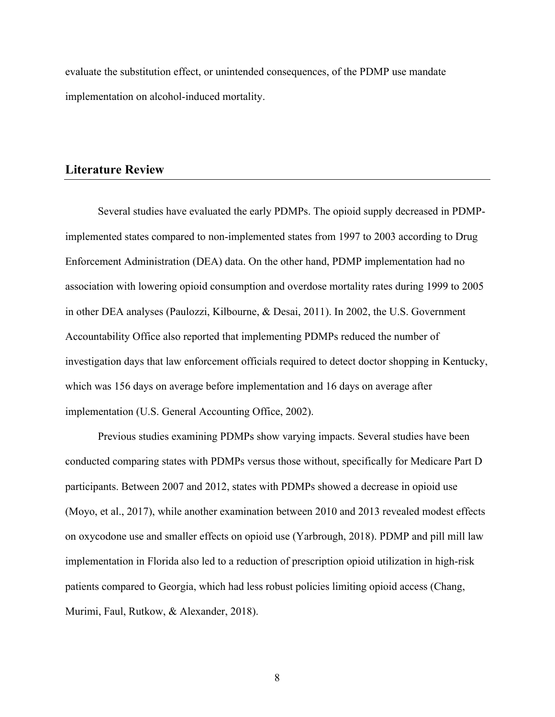evaluate the substitution effect, or unintended consequences, of the PDMP use mandate implementation on alcohol-induced mortality.

### **Literature Review**

Several studies have evaluated the early PDMPs. The opioid supply decreased in PDMPimplemented states compared to non-implemented states from 1997 to 2003 according to Drug Enforcement Administration (DEA) data. On the other hand, PDMP implementation had no association with lowering opioid consumption and overdose mortality rates during 1999 to 2005 in other DEA analyses (Paulozzi, Kilbourne, & Desai, 2011). In 2002, the U.S. Government Accountability Office also reported that implementing PDMPs reduced the number of investigation days that law enforcement officials required to detect doctor shopping in Kentucky, which was 156 days on average before implementation and 16 days on average after implementation (U.S. General Accounting Office, 2002).

Previous studies examining PDMPs show varying impacts. Several studies have been conducted comparing states with PDMPs versus those without, specifically for Medicare Part D participants. Between 2007 and 2012, states with PDMPs showed a decrease in opioid use (Moyo, et al., 2017), while another examination between 2010 and 2013 revealed modest effects on oxycodone use and smaller effects on opioid use (Yarbrough, 2018). PDMP and pill mill law implementation in Florida also led to a reduction of prescription opioid utilization in high-risk patients compared to Georgia, which had less robust policies limiting opioid access (Chang, Murimi, Faul, Rutkow, & Alexander, 2018).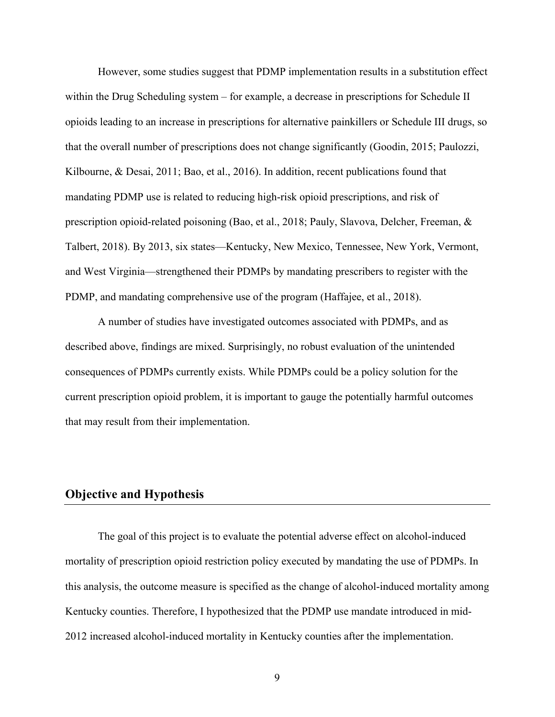However, some studies suggest that PDMP implementation results in a substitution effect within the Drug Scheduling system – for example, a decrease in prescriptions for Schedule II opioids leading to an increase in prescriptions for alternative painkillers or Schedule III drugs, so that the overall number of prescriptions does not change significantly (Goodin, 2015; Paulozzi, Kilbourne, & Desai, 2011; Bao, et al., 2016). In addition, recent publications found that mandating PDMP use is related to reducing high-risk opioid prescriptions, and risk of prescription opioid-related poisoning (Bao, et al., 2018; Pauly, Slavova, Delcher, Freeman, & Talbert, 2018). By 2013, six states—Kentucky, New Mexico, Tennessee, New York, Vermont, and West Virginia—strengthened their PDMPs by mandating prescribers to register with the PDMP, and mandating comprehensive use of the program (Haffajee, et al., 2018).

A number of studies have investigated outcomes associated with PDMPs, and as described above, findings are mixed. Surprisingly, no robust evaluation of the unintended consequences of PDMPs currently exists. While PDMPs could be a policy solution for the current prescription opioid problem, it is important to gauge the potentially harmful outcomes that may result from their implementation.

# **Objective and Hypothesis**

The goal of this project is to evaluate the potential adverse effect on alcohol-induced mortality of prescription opioid restriction policy executed by mandating the use of PDMPs. In this analysis, the outcome measure is specified as the change of alcohol-induced mortality among Kentucky counties. Therefore, I hypothesized that the PDMP use mandate introduced in mid-2012 increased alcohol-induced mortality in Kentucky counties after the implementation.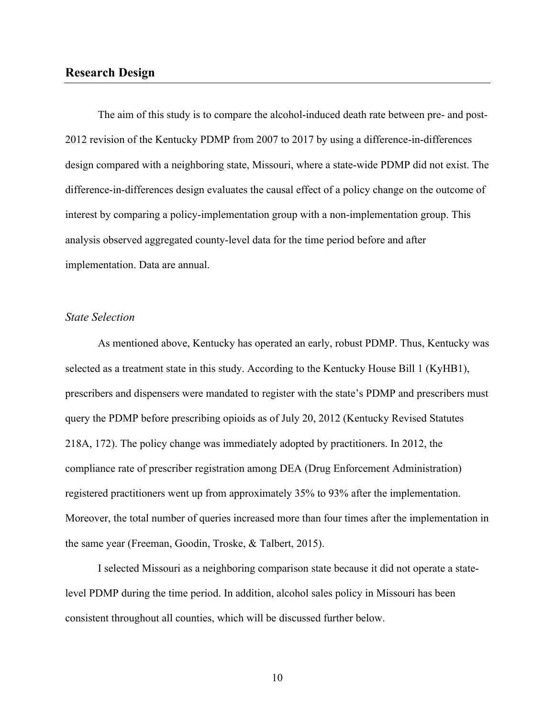## **Research Design**

The aim of this study is to compare the alcohol-induced death rate between pre- and post-2012 revision of the Kentucky PDMP from 2007 to 2017 by using a difference-in-differences design compared with a neighboring state, Missouri, where a state-wide PDMP did not exist. The difference-in-differences design evaluates the causal effect of a policy change on the outcome of interest by comparing a policy-implementation group with a non-implementation group. This analysis observed aggregated county-level data for the time period before and after implementation. Data are annual.

#### *State Selection*

As mentioned above, Kentucky has operated an early, robust PDMP. Thus, Kentucky was selected as a treatment state in this study. According to the Kentucky House Bill 1 (KyHB1), prescribers and dispensers were mandated to register with the state's PDMP and prescribers must query the PDMP before prescribing opioids as of July 20, 2012 (Kentucky Revised Statutes 218A, 172). The policy change was immediately adopted by practitioners. In 2012, the compliance rate of prescriber registration among DEA (Drug Enforcement Administration) registered practitioners went up from approximately 35% to 93% after the implementation. Moreover, the total number of queries increased more than four times after the implementation in the same year (Freeman, Goodin, Troske, & Talbert, 2015).

I selected Missouri as a neighboring comparison state because it did not operate a statelevel PDMP during the time period. In addition, alcohol sales policy in Missouri has been consistent throughout all counties, which will be discussed further below.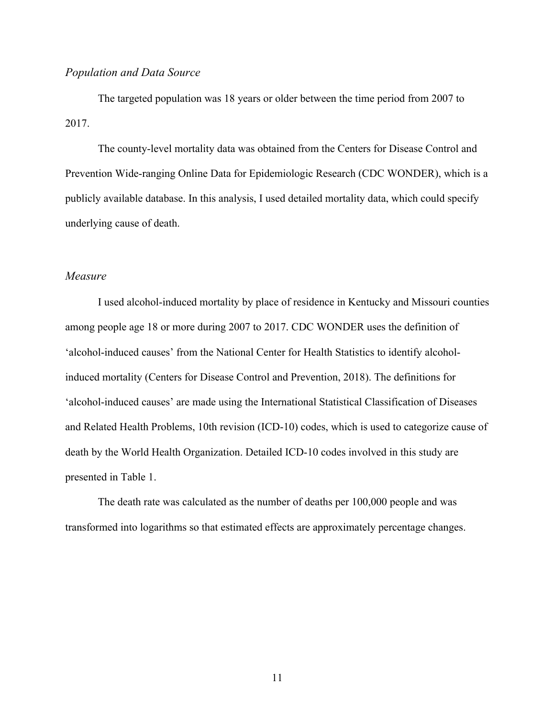#### *Population and Data Source*

The targeted population was 18 years or older between the time period from 2007 to 2017.

The county-level mortality data was obtained from the Centers for Disease Control and Prevention Wide-ranging Online Data for Epidemiologic Research (CDC WONDER), which is a publicly available database. In this analysis, I used detailed mortality data, which could specify underlying cause of death.

#### *Measure*

I used alcohol-induced mortality by place of residence in Kentucky and Missouri counties among people age 18 or more during 2007 to 2017. CDC WONDER uses the definition of 'alcohol-induced causes' from the National Center for Health Statistics to identify alcoholinduced mortality (Centers for Disease Control and Prevention, 2018). The definitions for 'alcohol-induced causes' are made using the International Statistical Classification of Diseases and Related Health Problems, 10th revision (ICD-10) codes, which is used to categorize cause of death by the World Health Organization. Detailed ICD-10 codes involved in this study are presented in Table 1.

The death rate was calculated as the number of deaths per 100,000 people and was transformed into logarithms so that estimated effects are approximately percentage changes.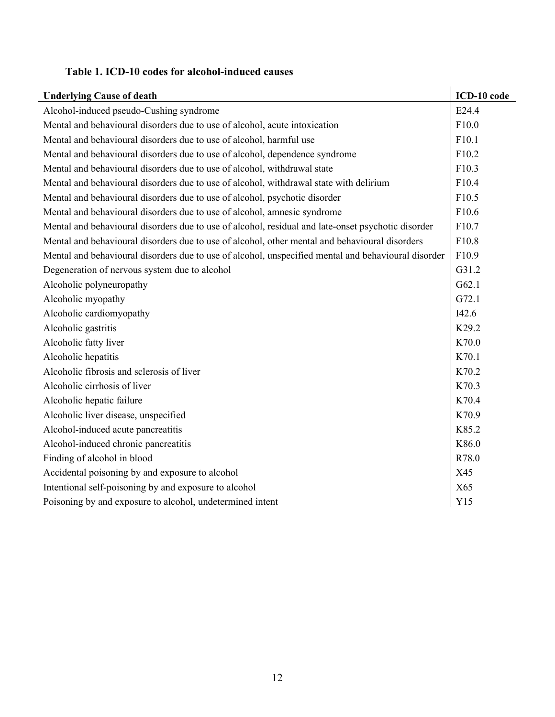## **Table 1. ICD-10 codes for alcohol-induced causes**

| <b>Underlying Cause of death</b>                                                                    | ICD-10 code |
|-----------------------------------------------------------------------------------------------------|-------------|
| Alcohol-induced pseudo-Cushing syndrome                                                             | E24.4       |
| Mental and behavioural disorders due to use of alcohol, acute intoxication                          | F10.0       |
| Mental and behavioural disorders due to use of alcohol, harmful use                                 | F10.1       |
| Mental and behavioural disorders due to use of alcohol, dependence syndrome                         | F10.2       |
| Mental and behavioural disorders due to use of alcohol, withdrawal state                            | F10.3       |
| Mental and behavioural disorders due to use of alcohol, withdrawal state with delirium              | F10.4       |
| Mental and behavioural disorders due to use of alcohol, psychotic disorder                          | F10.5       |
| Mental and behavioural disorders due to use of alcohol, amnesic syndrome                            | F10.6       |
| Mental and behavioural disorders due to use of alcohol, residual and late-onset psychotic disorder  | F10.7       |
| Mental and behavioural disorders due to use of alcohol, other mental and behavioural disorders      | F10.8       |
| Mental and behavioural disorders due to use of alcohol, unspecified mental and behavioural disorder | F10.9       |
| Degeneration of nervous system due to alcohol                                                       | G31.2       |
| Alcoholic polyneuropathy                                                                            | G62.1       |
| Alcoholic myopathy                                                                                  | G72.1       |
| Alcoholic cardiomyopathy                                                                            | I42.6       |
| Alcoholic gastritis                                                                                 | K29.2       |
| Alcoholic fatty liver                                                                               | K70.0       |
| Alcoholic hepatitis                                                                                 | K70.1       |
| Alcoholic fibrosis and sclerosis of liver                                                           | K70.2       |
| Alcoholic cirrhosis of liver                                                                        | K70.3       |
| Alcoholic hepatic failure                                                                           | K70.4       |
| Alcoholic liver disease, unspecified                                                                | K70.9       |
| Alcohol-induced acute pancreatitis                                                                  | K85.2       |
| Alcohol-induced chronic pancreatitis                                                                | K86.0       |
| Finding of alcohol in blood                                                                         | R78.0       |
| Accidental poisoning by and exposure to alcohol                                                     | X45         |
| Intentional self-poisoning by and exposure to alcohol                                               | X65         |
| Poisoning by and exposure to alcohol, undetermined intent                                           | Y15         |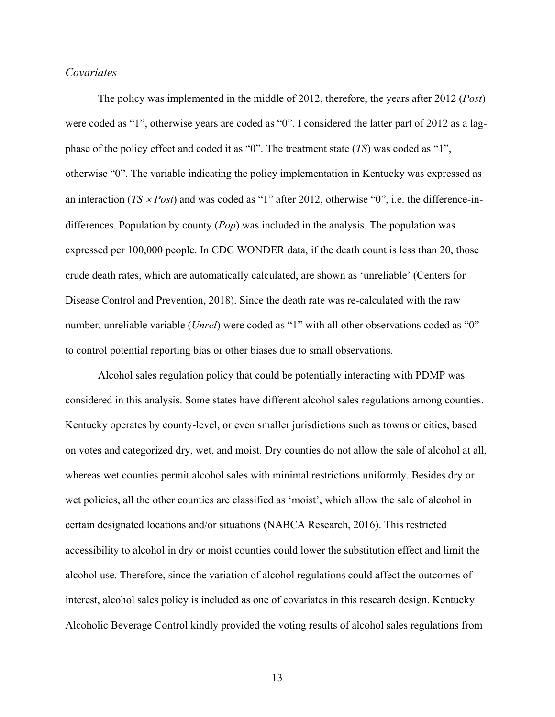#### *Covariates*

The policy was implemented in the middle of 2012, therefore, the years after 2012 (*Post*) were coded as "1", otherwise years are coded as "0". I considered the latter part of 2012 as a lagphase of the policy effect and coded it as "0". The treatment state (*TS*) was coded as "1", otherwise "0". The variable indicating the policy implementation in Kentucky was expressed as an interaction ( $TS \times Post$ ) and was coded as "1" after 2012, otherwise "0", i.e. the difference-indifferences. Population by county (*Pop*) was included in the analysis. The population was expressed per 100,000 people. In CDC WONDER data, if the death count is less than 20, those crude death rates, which are automatically calculated, are shown as 'unreliable' (Centers for Disease Control and Prevention, 2018). Since the death rate was re-calculated with the raw number, unreliable variable (*Unrel*) were coded as "1" with all other observations coded as "0" to control potential reporting bias or other biases due to small observations.

Alcohol sales regulation policy that could be potentially interacting with PDMP was considered in this analysis. Some states have different alcohol sales regulations among counties. Kentucky operates by county-level, or even smaller jurisdictions such as towns or cities, based on votes and categorized dry, wet, and moist. Dry counties do not allow the sale of alcohol at all, whereas wet counties permit alcohol sales with minimal restrictions uniformly. Besides dry or wet policies, all the other counties are classified as 'moist', which allow the sale of alcohol in certain designated locations and/or situations (NABCA Research, 2016). This restricted accessibility to alcohol in dry or moist counties could lower the substitution effect and limit the alcohol use. Therefore, since the variation of alcohol regulations could affect the outcomes of interest, alcohol sales policy is included as one of covariates in this research design. Kentucky Alcoholic Beverage Control kindly provided the voting results of alcohol sales regulations from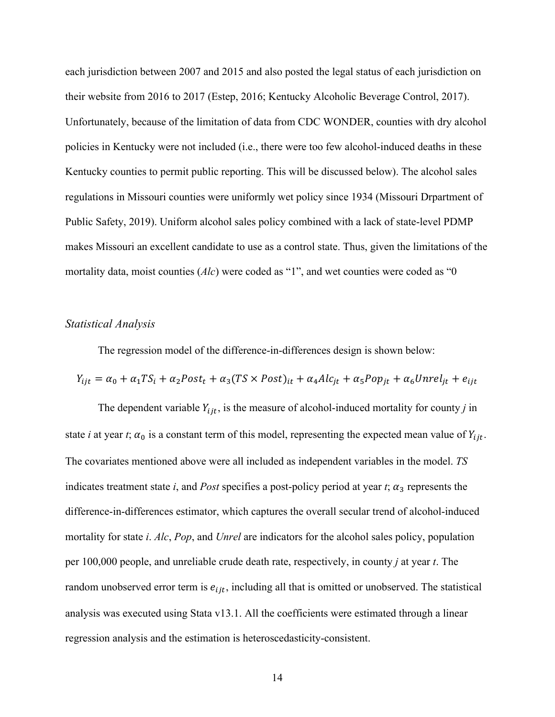each jurisdiction between 2007 and 2015 and also posted the legal status of each jurisdiction on their website from 2016 to 2017 (Estep, 2016; Kentucky Alcoholic Beverage Control, 2017). Unfortunately, because of the limitation of data from CDC WONDER, counties with dry alcohol policies in Kentucky were not included (i.e., there were too few alcohol-induced deaths in these Kentucky counties to permit public reporting. This will be discussed below). The alcohol sales regulations in Missouri counties were uniformly wet policy since 1934 (Missouri Drpartment of Public Safety, 2019). Uniform alcohol sales policy combined with a lack of state-level PDMP makes Missouri an excellent candidate to use as a control state. Thus, given the limitations of the mortality data, moist counties (*Alc*) were coded as "1", and wet counties were coded as "0

#### *Statistical Analysis*

The regression model of the difference-in-differences design is shown below:

$$
Y_{ijt} = \alpha_0 + \alpha_1 TS_i + \alpha_2 Post_t + \alpha_3 (TS \times Post)_{it} + \alpha_4 Alc_{jt} + \alpha_5 Pop_{jt} + \alpha_6 Unrel_{jt} + e_{ijt}
$$

The dependent variable  $Y_{ijt}$ , is the measure of alcohol-induced mortality for county *j* in state *i* at year *t*;  $\alpha_0$  is a constant term of this model, representing the expected mean value of  $Y_{ijt}$ . The covariates mentioned above were all included as independent variables in the model. *TS* indicates treatment state  $i$ , and *Post* specifies a post-policy period at year  $t$ ;  $\alpha_3$  represents the difference-in-differences estimator, which captures the overall secular trend of alcohol-induced mortality for state *i*. *Alc*, *Pop*, and *Unrel* are indicators for the alcohol sales policy, population per 100,000 people, and unreliable crude death rate, respectively, in county *j* at year *t*. The random unobserved error term is  $e_{ijt}$ , including all that is omitted or unobserved. The statistical analysis was executed using Stata v13.1. All the coefficients were estimated through a linear regression analysis and the estimation is heteroscedasticity-consistent.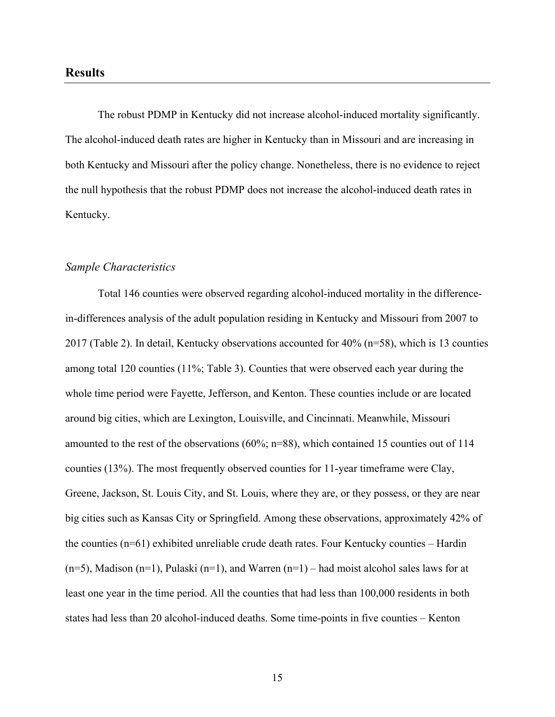The robust PDMP in Kentucky did not increase alcohol-induced mortality significantly. The alcohol-induced death rates are higher in Kentucky than in Missouri and are increasing in both Kentucky and Missouri after the policy change. Nonetheless, there is no evidence to reject the null hypothesis that the robust PDMP does not increase the alcohol-induced death rates in Kentucky.

#### *Sample Characteristics*

Total 146 counties were observed regarding alcohol-induced mortality in the differencein-differences analysis of the adult population residing in Kentucky and Missouri from 2007 to 2017 (Table 2). In detail, Kentucky observations accounted for 40% (n=58), which is 13 counties among total 120 counties (11%; Table 3). Counties that were observed each year during the whole time period were Fayette, Jefferson, and Kenton. These counties include or are located around big cities, which are Lexington, Louisville, and Cincinnati. Meanwhile, Missouri amounted to the rest of the observations (60%; n=88), which contained 15 counties out of 114 counties (13%). The most frequently observed counties for 11-year timeframe were Clay, Greene, Jackson, St. Louis City, and St. Louis, where they are, or they possess, or they are near big cities such as Kansas City or Springfield. Among these observations, approximately 42% of the counties (n=61) exhibited unreliable crude death rates. Four Kentucky counties – Hardin  $(n=5)$ , Madison  $(n=1)$ , Pulaski  $(n=1)$ , and Warren  $(n=1)$  – had moist alcohol sales laws for at least one year in the time period. All the counties that had less than 100,000 residents in both states had less than 20 alcohol-induced deaths. Some time-points in five counties – Kenton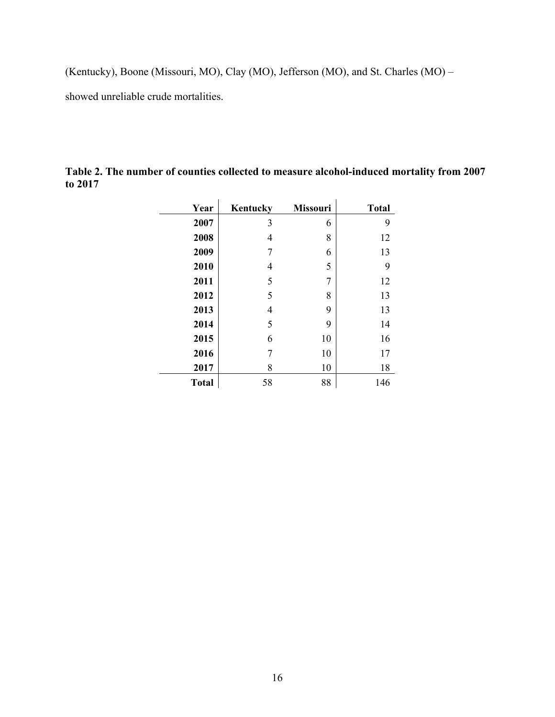(Kentucky), Boone (Missouri, MO), Clay (MO), Jefferson (MO), and St. Charles (MO) –

showed unreliable crude mortalities.

| Year         | Kentucky | <b>Missouri</b> | <b>Total</b> |
|--------------|----------|-----------------|--------------|
| 2007         | 3        | 6               | 9            |
| 2008         | 4        | 8               | 12           |
| 2009         | 7        | 6               | 13           |
| 2010         | 4        | 5               | 9            |
| 2011         | 5        | 7               | 12           |
| 2012         | 5        | 8               | 13           |
| 2013         | 4        | 9               | 13           |
| 2014         | 5        | 9               | 14           |
| 2015         | 6        | 10              | 16           |
| 2016         | 7        | 10              | 17           |
| 2017         | 8        | 10              | 18           |
| <b>Total</b> | 58       | 88              | 146          |

**Table 2. The number of counties collected to measure alcohol-induced mortality from 2007 to 2017**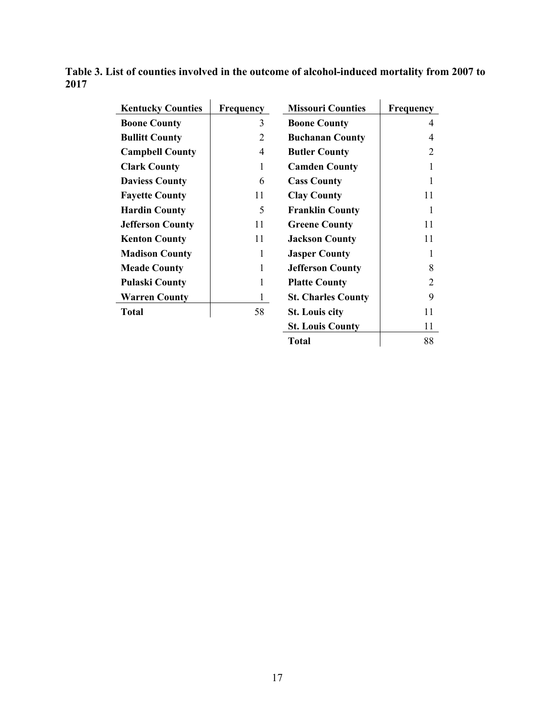| <b>Kentucky Counties</b> | <b>Frequency</b> | <b>Missouri Counties</b>  | Frequency      |
|--------------------------|------------------|---------------------------|----------------|
| <b>Boone County</b>      | 3                | <b>Boone County</b>       | 4              |
| <b>Bullitt County</b>    | 2                | <b>Buchanan County</b>    | 4              |
| <b>Campbell County</b>   | 4                | <b>Butler County</b>      | $\overline{2}$ |
| <b>Clark County</b>      | 1                | <b>Camden County</b>      | 1              |
| <b>Daviess County</b>    | 6                | <b>Cass County</b>        | 1              |
| <b>Fayette County</b>    | 11               | <b>Clay County</b>        | 11             |
| <b>Hardin County</b>     | 5                | <b>Franklin County</b>    | 1              |
| <b>Jefferson County</b>  | 11               | <b>Greene County</b>      | 11             |
| <b>Kenton County</b>     | 11               | <b>Jackson County</b>     | 11             |
| <b>Madison County</b>    | 1                | <b>Jasper County</b>      | 1              |
| <b>Meade County</b>      | 1                | <b>Jefferson County</b>   | 8              |
| <b>Pulaski County</b>    | 1                | <b>Platte County</b>      | $\overline{2}$ |
| <b>Warren County</b>     | $\mathbf{1}$     | <b>St. Charles County</b> | 9              |
| <b>Total</b>             | 58               | <b>St. Louis city</b>     | 11             |
|                          |                  | <b>St. Louis County</b>   | 11             |
|                          |                  | <b>Total</b>              | 88             |

**Table 3. List of counties involved in the outcome of alcohol-induced mortality from 2007 to 2017**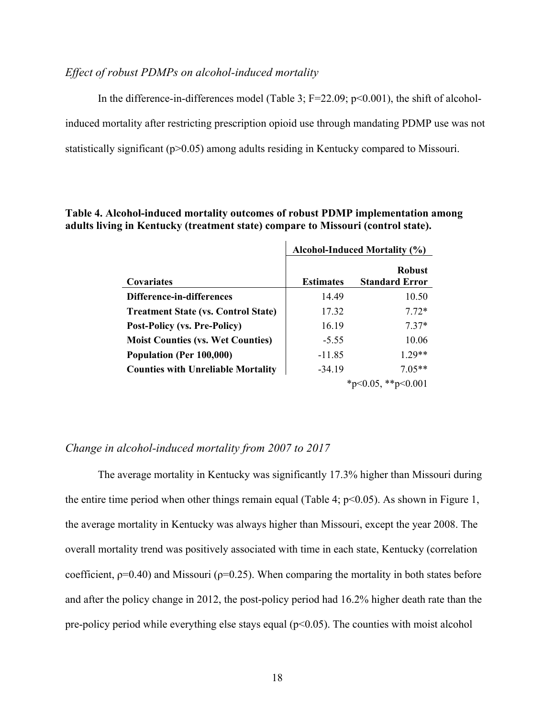#### *Effect of robust PDMPs on alcohol-induced mortality*

In the difference-in-differences model (Table 3;  $F=22.09$ ;  $p<0.001$ ), the shift of alcoholinduced mortality after restricting prescription opioid use through mandating PDMP use was not statistically significant (p>0.05) among adults residing in Kentucky compared to Missouri.

#### **Table 4. Alcohol-induced mortality outcomes of robust PDMP implementation among adults living in Kentucky (treatment state) compare to Missouri (control state).**

|                                            | Alcohol-Induced Mortality (%) |                                        |
|--------------------------------------------|-------------------------------|----------------------------------------|
| Covariates                                 | <b>Estimates</b>              | <b>Robust</b><br><b>Standard Error</b> |
| Difference-in-differences                  | 14.49                         | 10.50                                  |
| <b>Treatment State (vs. Control State)</b> | 17.32                         | $7.72*$                                |
| <b>Post-Policy (vs. Pre-Policy)</b>        | 16.19                         | $7.37*$                                |
| <b>Moist Counties (vs. Wet Counties)</b>   | $-5.55$                       | 10.06                                  |
| Population (Per 100,000)                   | $-11.85$                      | $1.29**$                               |
| <b>Counties with Unreliable Mortality</b>  | $-34.19$                      | $7.05**$                               |
|                                            |                               | *p<0.05, **p<0.001                     |

#### *Change in alcohol-induced mortality from 2007 to 2017*

The average mortality in Kentucky was significantly 17.3% higher than Missouri during the entire time period when other things remain equal (Table 4;  $p<0.05$ ). As shown in Figure 1, the average mortality in Kentucky was always higher than Missouri, except the year 2008. The overall mortality trend was positively associated with time in each state, Kentucky (correlation coefficient,  $p=0.40$ ) and Missouri ( $p=0.25$ ). When comparing the mortality in both states before and after the policy change in 2012, the post-policy period had 16.2% higher death rate than the pre-policy period while everything else stays equal  $(p<0.05)$ . The counties with moist alcohol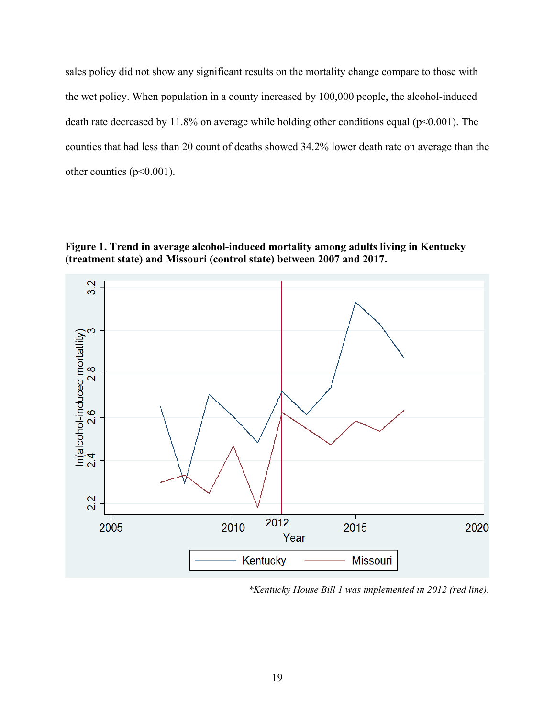sales policy did not show any significant results on the mortality change compare to those with the wet policy. When population in a county increased by 100,000 people, the alcohol-induced death rate decreased by 11.8% on average while holding other conditions equal ( $p<0.001$ ). The counties that had less than 20 count of deaths showed 34.2% lower death rate on average than the other counties (p<0.001).

**Figure 1. Trend in average alcohol-induced mortality among adults living in Kentucky (treatment state) and Missouri (control state) between 2007 and 2017.** 



*\*Kentucky House Bill 1 was implemented in 2012 (red line).*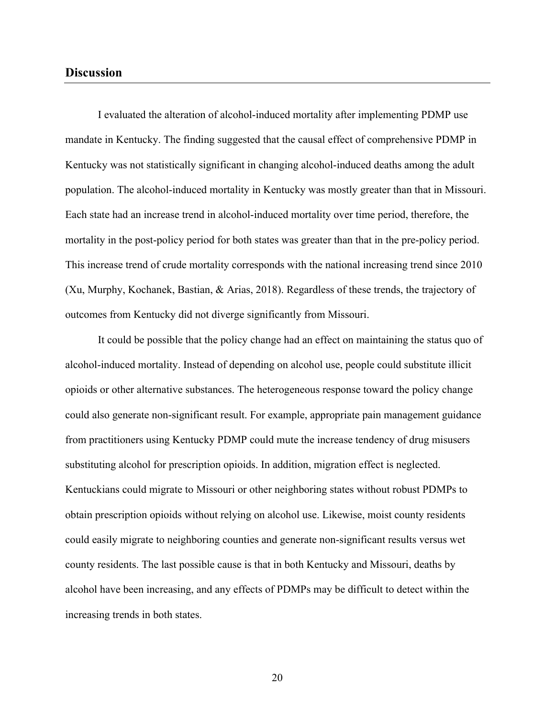#### **Discussion**

I evaluated the alteration of alcohol-induced mortality after implementing PDMP use mandate in Kentucky. The finding suggested that the causal effect of comprehensive PDMP in Kentucky was not statistically significant in changing alcohol-induced deaths among the adult population. The alcohol-induced mortality in Kentucky was mostly greater than that in Missouri. Each state had an increase trend in alcohol-induced mortality over time period, therefore, the mortality in the post-policy period for both states was greater than that in the pre-policy period. This increase trend of crude mortality corresponds with the national increasing trend since 2010 (Xu, Murphy, Kochanek, Bastian, & Arias, 2018). Regardless of these trends, the trajectory of outcomes from Kentucky did not diverge significantly from Missouri.

It could be possible that the policy change had an effect on maintaining the status quo of alcohol-induced mortality. Instead of depending on alcohol use, people could substitute illicit opioids or other alternative substances. The heterogeneous response toward the policy change could also generate non-significant result. For example, appropriate pain management guidance from practitioners using Kentucky PDMP could mute the increase tendency of drug misusers substituting alcohol for prescription opioids. In addition, migration effect is neglected. Kentuckians could migrate to Missouri or other neighboring states without robust PDMPs to obtain prescription opioids without relying on alcohol use. Likewise, moist county residents could easily migrate to neighboring counties and generate non-significant results versus wet county residents. The last possible cause is that in both Kentucky and Missouri, deaths by alcohol have been increasing, and any effects of PDMPs may be difficult to detect within the increasing trends in both states.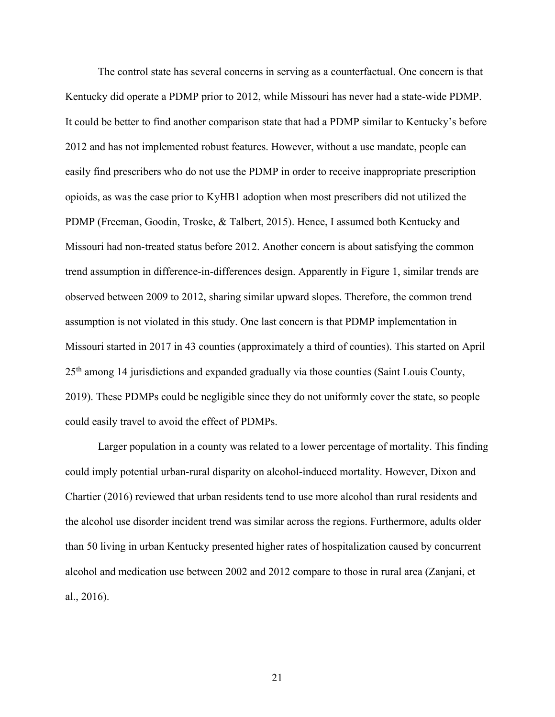The control state has several concerns in serving as a counterfactual. One concern is that Kentucky did operate a PDMP prior to 2012, while Missouri has never had a state-wide PDMP. It could be better to find another comparison state that had a PDMP similar to Kentucky's before 2012 and has not implemented robust features. However, without a use mandate, people can easily find prescribers who do not use the PDMP in order to receive inappropriate prescription opioids, as was the case prior to KyHB1 adoption when most prescribers did not utilized the PDMP (Freeman, Goodin, Troske, & Talbert, 2015). Hence, I assumed both Kentucky and Missouri had non-treated status before 2012. Another concern is about satisfying the common trend assumption in difference-in-differences design. Apparently in Figure 1, similar trends are observed between 2009 to 2012, sharing similar upward slopes. Therefore, the common trend assumption is not violated in this study. One last concern is that PDMP implementation in Missouri started in 2017 in 43 counties (approximately a third of counties). This started on April 25th among 14 jurisdictions and expanded gradually via those counties (Saint Louis County, 2019). These PDMPs could be negligible since they do not uniformly cover the state, so people could easily travel to avoid the effect of PDMPs.

Larger population in a county was related to a lower percentage of mortality. This finding could imply potential urban-rural disparity on alcohol-induced mortality. However, Dixon and Chartier (2016) reviewed that urban residents tend to use more alcohol than rural residents and the alcohol use disorder incident trend was similar across the regions. Furthermore, adults older than 50 living in urban Kentucky presented higher rates of hospitalization caused by concurrent alcohol and medication use between 2002 and 2012 compare to those in rural area (Zanjani, et al., 2016).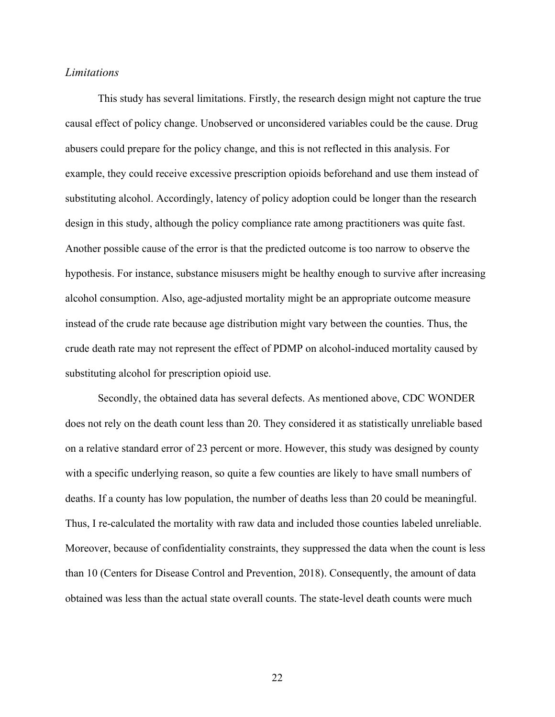#### *Limitations*

This study has several limitations. Firstly, the research design might not capture the true causal effect of policy change. Unobserved or unconsidered variables could be the cause. Drug abusers could prepare for the policy change, and this is not reflected in this analysis. For example, they could receive excessive prescription opioids beforehand and use them instead of substituting alcohol. Accordingly, latency of policy adoption could be longer than the research design in this study, although the policy compliance rate among practitioners was quite fast. Another possible cause of the error is that the predicted outcome is too narrow to observe the hypothesis. For instance, substance misusers might be healthy enough to survive after increasing alcohol consumption. Also, age-adjusted mortality might be an appropriate outcome measure instead of the crude rate because age distribution might vary between the counties. Thus, the crude death rate may not represent the effect of PDMP on alcohol-induced mortality caused by substituting alcohol for prescription opioid use.

Secondly, the obtained data has several defects. As mentioned above, CDC WONDER does not rely on the death count less than 20. They considered it as statistically unreliable based on a relative standard error of 23 percent or more. However, this study was designed by county with a specific underlying reason, so quite a few counties are likely to have small numbers of deaths. If a county has low population, the number of deaths less than 20 could be meaningful. Thus, I re-calculated the mortality with raw data and included those counties labeled unreliable. Moreover, because of confidentiality constraints, they suppressed the data when the count is less than 10 (Centers for Disease Control and Prevention, 2018). Consequently, the amount of data obtained was less than the actual state overall counts. The state-level death counts were much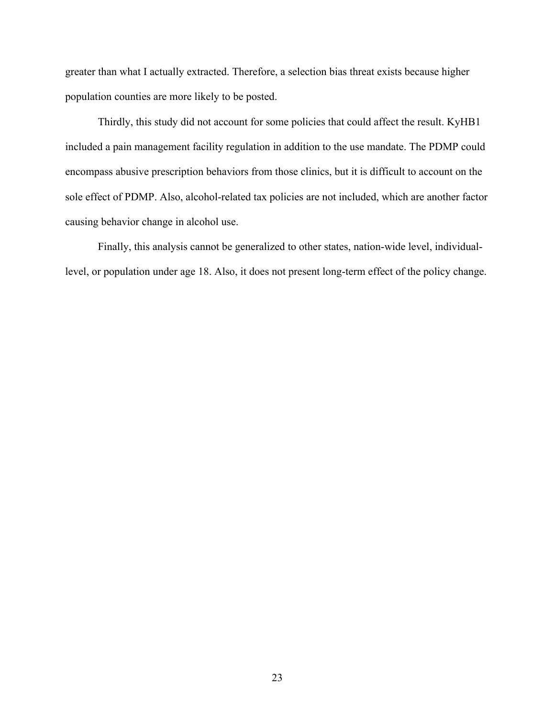greater than what I actually extracted. Therefore, a selection bias threat exists because higher population counties are more likely to be posted.

Thirdly, this study did not account for some policies that could affect the result. KyHB1 included a pain management facility regulation in addition to the use mandate. The PDMP could encompass abusive prescription behaviors from those clinics, but it is difficult to account on the sole effect of PDMP. Also, alcohol-related tax policies are not included, which are another factor causing behavior change in alcohol use.

Finally, this analysis cannot be generalized to other states, nation-wide level, individuallevel, or population under age 18. Also, it does not present long-term effect of the policy change.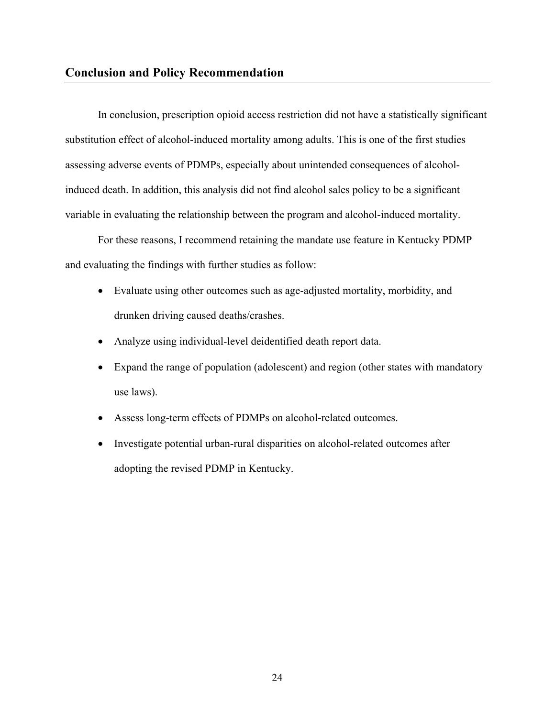In conclusion, prescription opioid access restriction did not have a statistically significant substitution effect of alcohol-induced mortality among adults. This is one of the first studies assessing adverse events of PDMPs, especially about unintended consequences of alcoholinduced death. In addition, this analysis did not find alcohol sales policy to be a significant variable in evaluating the relationship between the program and alcohol-induced mortality.

For these reasons, I recommend retaining the mandate use feature in Kentucky PDMP and evaluating the findings with further studies as follow:

- Evaluate using other outcomes such as age-adjusted mortality, morbidity, and drunken driving caused deaths/crashes.
- Analyze using individual-level deidentified death report data.
- Expand the range of population (adolescent) and region (other states with mandatory use laws).
- Assess long-term effects of PDMPs on alcohol-related outcomes.
- Investigate potential urban-rural disparities on alcohol-related outcomes after adopting the revised PDMP in Kentucky.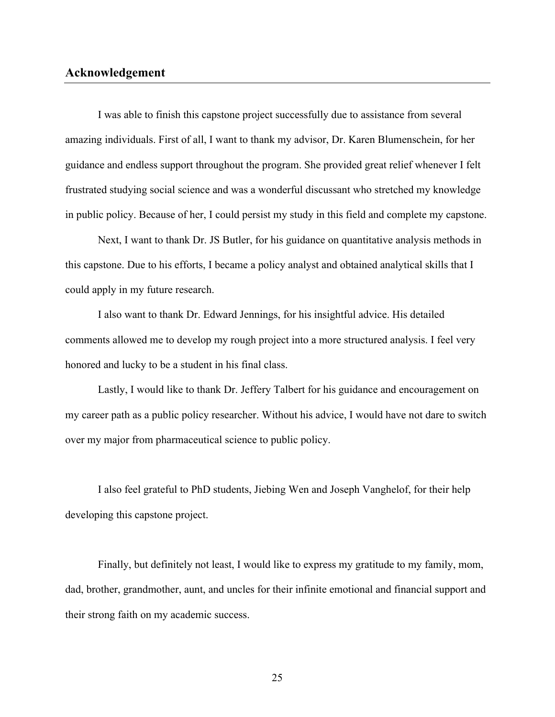#### **Acknowledgement**

I was able to finish this capstone project successfully due to assistance from several amazing individuals. First of all, I want to thank my advisor, Dr. Karen Blumenschein, for her guidance and endless support throughout the program. She provided great relief whenever I felt frustrated studying social science and was a wonderful discussant who stretched my knowledge in public policy. Because of her, I could persist my study in this field and complete my capstone.

Next, I want to thank Dr. JS Butler, for his guidance on quantitative analysis methods in this capstone. Due to his efforts, I became a policy analyst and obtained analytical skills that I could apply in my future research.

I also want to thank Dr. Edward Jennings, for his insightful advice. His detailed comments allowed me to develop my rough project into a more structured analysis. I feel very honored and lucky to be a student in his final class.

Lastly, I would like to thank Dr. Jeffery Talbert for his guidance and encouragement on my career path as a public policy researcher. Without his advice, I would have not dare to switch over my major from pharmaceutical science to public policy.

I also feel grateful to PhD students, Jiebing Wen and Joseph Vanghelof, for their help developing this capstone project.

Finally, but definitely not least, I would like to express my gratitude to my family, mom, dad, brother, grandmother, aunt, and uncles for their infinite emotional and financial support and their strong faith on my academic success.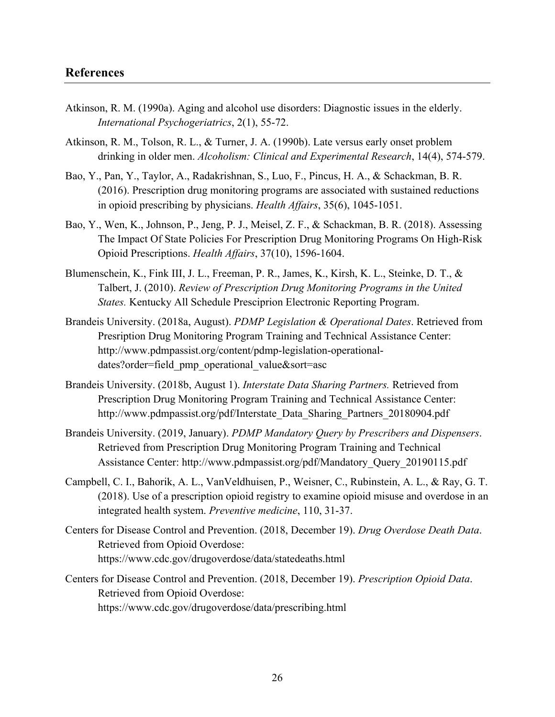- Atkinson, R. M. (1990a). Aging and alcohol use disorders: Diagnostic issues in the elderly. *International Psychogeriatrics*, 2(1), 55-72.
- Atkinson, R. M., Tolson, R. L., & Turner, J. A. (1990b). Late versus early onset problem drinking in older men. *Alcoholism: Clinical and Experimental Research*, 14(4), 574-579.
- Bao, Y., Pan, Y., Taylor, A., Radakrishnan, S., Luo, F., Pincus, H. A., & Schackman, B. R. (2016). Prescription drug monitoring programs are associated with sustained reductions in opioid prescribing by physicians. *Health Affairs*, 35(6), 1045-1051.
- Bao, Y., Wen, K., Johnson, P., Jeng, P. J., Meisel, Z. F., & Schackman, B. R. (2018). Assessing The Impact Of State Policies For Prescription Drug Monitoring Programs On High-Risk Opioid Prescriptions. *Health Affairs*, 37(10), 1596-1604.
- Blumenschein, K., Fink III, J. L., Freeman, P. R., James, K., Kirsh, K. L., Steinke, D. T., & Talbert, J. (2010). *Review of Prescription Drug Monitoring Programs in the United States.* Kentucky All Schedule Presciprion Electronic Reporting Program.
- Brandeis University. (2018a, August). *PDMP Legislation & Operational Dates*. Retrieved from Presription Drug Monitoring Program Training and Technical Assistance Center: http://www.pdmpassist.org/content/pdmp-legislation-operationaldates?order=field\_pmp\_operational\_value&sort=asc
- Brandeis University. (2018b, August 1). *Interstate Data Sharing Partners.* Retrieved from Prescription Drug Monitoring Program Training and Technical Assistance Center: http://www.pdmpassist.org/pdf/Interstate\_Data\_Sharing\_Partners\_20180904.pdf
- Brandeis University. (2019, January). *PDMP Mandatory Query by Prescribers and Dispensers*. Retrieved from Prescription Drug Monitoring Program Training and Technical Assistance Center: http://www.pdmpassist.org/pdf/Mandatory\_Query\_20190115.pdf
- Campbell, C. I., Bahorik, A. L., VanVeldhuisen, P., Weisner, C., Rubinstein, A. L., & Ray, G. T. (2018). Use of a prescription opioid registry to examine opioid misuse and overdose in an integrated health system. *Preventive medicine*, 110, 31-37.
- Centers for Disease Control and Prevention. (2018, December 19). *Drug Overdose Death Data*. Retrieved from Opioid Overdose: https://www.cdc.gov/drugoverdose/data/statedeaths.html
- Centers for Disease Control and Prevention. (2018, December 19). *Prescription Opioid Data*. Retrieved from Opioid Overdose: https://www.cdc.gov/drugoverdose/data/prescribing.html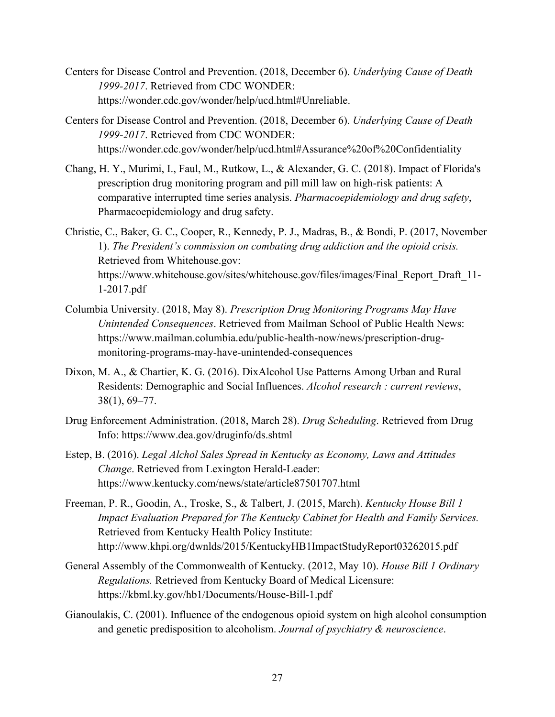- Centers for Disease Control and Prevention. (2018, December 6). *Underlying Cause of Death 1999-2017*. Retrieved from CDC WONDER: https://wonder.cdc.gov/wonder/help/ucd.html#Unreliable.
- Centers for Disease Control and Prevention. (2018, December 6). *Underlying Cause of Death 1999-2017*. Retrieved from CDC WONDER: https://wonder.cdc.gov/wonder/help/ucd.html#Assurance%20of%20Confidentiality
- Chang, H. Y., Murimi, I., Faul, M., Rutkow, L., & Alexander, G. C. (2018). Impact of Florida's prescription drug monitoring program and pill mill law on high-risk patients: A comparative interrupted time series analysis. *Pharmacoepidemiology and drug safety*, Pharmacoepidemiology and drug safety.
- Christie, C., Baker, G. C., Cooper, R., Kennedy, P. J., Madras, B., & Bondi, P. (2017, November 1). *The President's commission on combating drug addiction and the opioid crisis.* Retrieved from Whitehouse.gov: https://www.whitehouse.gov/sites/whitehouse.gov/files/images/Final\_Report\_Draft\_11- 1-2017.pdf
- Columbia University. (2018, May 8). *Prescription Drug Monitoring Programs May Have Unintended Consequences*. Retrieved from Mailman School of Public Health News: https://www.mailman.columbia.edu/public-health-now/news/prescription-drugmonitoring-programs-may-have-unintended-consequences
- Dixon, M. A., & Chartier, K. G. (2016). DixAlcohol Use Patterns Among Urban and Rural Residents: Demographic and Social Influences. *Alcohol research : current reviews*, 38(1), 69–77.
- Drug Enforcement Administration. (2018, March 28). *Drug Scheduling*. Retrieved from Drug Info: https://www.dea.gov/druginfo/ds.shtml
- Estep, B. (2016). *Legal Alchol Sales Spread in Kentucky as Economy, Laws and Attitudes Change*. Retrieved from Lexington Herald-Leader: https://www.kentucky.com/news/state/article87501707.html
- Freeman, P. R., Goodin, A., Troske, S., & Talbert, J. (2015, March). *Kentucky House Bill 1 Impact Evaluation Prepared for The Kentucky Cabinet for Health and Family Services.* Retrieved from Kentucky Health Policy Institute: http://www.khpi.org/dwnlds/2015/KentuckyHB1ImpactStudyReport03262015.pdf
- General Assembly of the Commonwealth of Kentucky. (2012, May 10). *House Bill 1 Ordinary Regulations.* Retrieved from Kentucky Board of Medical Licensure: https://kbml.ky.gov/hb1/Documents/House-Bill-1.pdf
- Gianoulakis, C. (2001). Influence of the endogenous opioid system on high alcohol consumption and genetic predisposition to alcoholism. *Journal of psychiatry & neuroscience*.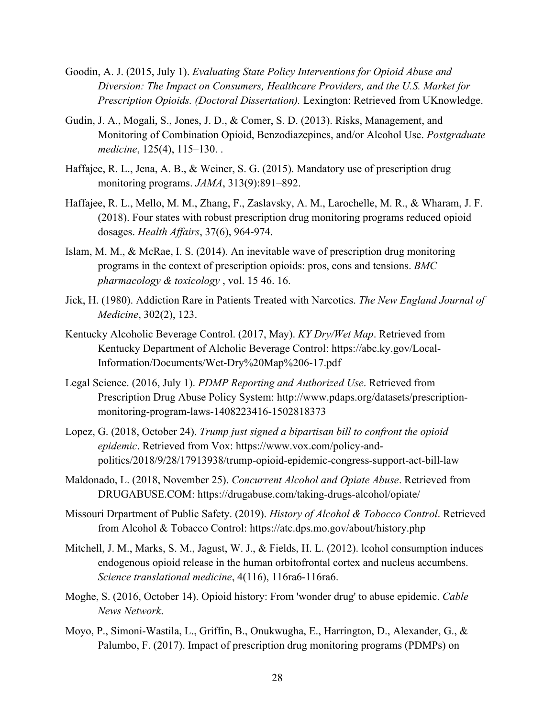- Goodin, A. J. (2015, July 1). *Evaluating State Policy Interventions for Opioid Abuse and Diversion: The Impact on Consumers, Healthcare Providers, and the U.S. Market for Prescription Opioids. (Doctoral Dissertation).* Lexington: Retrieved from UKnowledge.
- Gudin, J. A., Mogali, S., Jones, J. D., & Comer, S. D. (2013). Risks, Management, and Monitoring of Combination Opioid, Benzodiazepines, and/or Alcohol Use. *Postgraduate medicine*, 125(4), 115–130. .
- Haffajee, R. L., Jena, A. B., & Weiner, S. G. (2015). Mandatory use of prescription drug monitoring programs. *JAMA*, 313(9):891–892.
- Haffajee, R. L., Mello, M. M., Zhang, F., Zaslavsky, A. M., Larochelle, M. R., & Wharam, J. F. (2018). Four states with robust prescription drug monitoring programs reduced opioid dosages. *Health Affairs*, 37(6), 964-974.
- Islam, M. M., & McRae, I. S. (2014). An inevitable wave of prescription drug monitoring programs in the context of prescription opioids: pros, cons and tensions. *BMC pharmacology & toxicology* , vol. 15 46. 16.
- Jick, H. (1980). Addiction Rare in Patients Treated with Narcotics. *The New England Journal of Medicine*, 302(2), 123.
- Kentucky Alcoholic Beverage Control. (2017, May). *KY Dry/Wet Map*. Retrieved from Kentucky Department of Alcholic Beverage Control: https://abc.ky.gov/Local-Information/Documents/Wet-Dry%20Map%206-17.pdf
- Legal Science. (2016, July 1). *PDMP Reporting and Authorized Use*. Retrieved from Prescription Drug Abuse Policy System: http://www.pdaps.org/datasets/prescriptionmonitoring-program-laws-1408223416-1502818373
- Lopez, G. (2018, October 24). *Trump just signed a bipartisan bill to confront the opioid epidemic*. Retrieved from Vox: https://www.vox.com/policy-andpolitics/2018/9/28/17913938/trump-opioid-epidemic-congress-support-act-bill-law
- Maldonado, L. (2018, November 25). *Concurrent Alcohol and Opiate Abuse*. Retrieved from DRUGABUSE.COM: https://drugabuse.com/taking-drugs-alcohol/opiate/
- Missouri Drpartment of Public Safety. (2019). *History of Alcohol & Tobocco Control*. Retrieved from Alcohol & Tobacco Control: https://atc.dps.mo.gov/about/history.php
- Mitchell, J. M., Marks, S. M., Jagust, W. J., & Fields, H. L. (2012). lcohol consumption induces endogenous opioid release in the human orbitofrontal cortex and nucleus accumbens. *Science translational medicine*, 4(116), 116ra6-116ra6.
- Moghe, S. (2016, October 14). Opioid history: From 'wonder drug' to abuse epidemic. *Cable News Network*.
- Moyo, P., Simoni-Wastila, L., Griffin, B., Onukwugha, E., Harrington, D., Alexander, G., & Palumbo, F. (2017). Impact of prescription drug monitoring programs (PDMPs) on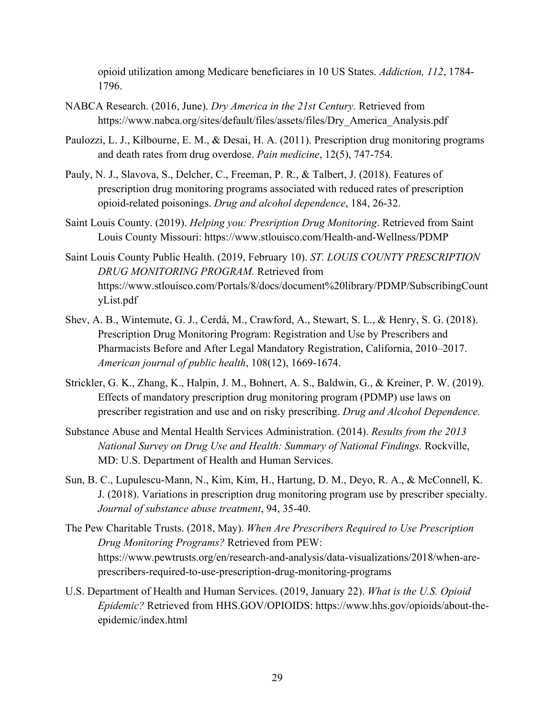opioid utilization among Medicare beneficiares in 10 US States. *Addiction, 112*, 1784- 1796.

- NABCA Research. (2016, June). *Dry America in the 21st Century.* Retrieved from https://www.nabca.org/sites/default/files/assets/files/Dry\_America\_Analysis.pdf
- Paulozzi, L. J., Kilbourne, E. M., & Desai, H. A. (2011). Prescription drug monitoring programs and death rates from drug overdose. *Pain medicine*, 12(5), 747-754.
- Pauly, N. J., Slavova, S., Delcher, C., Freeman, P. R., & Talbert, J. (2018). Features of prescription drug monitoring programs associated with reduced rates of prescription opioid-related poisonings. *Drug and alcohol dependence*, 184, 26-32.
- Saint Louis County. (2019). *Helping you: Presription Drug Monitoring*. Retrieved from Saint Louis County Missouri: https://www.stlouisco.com/Health-and-Wellness/PDMP
- Saint Louis County Public Health. (2019, February 10). *ST. LOUIS COUNTY PRESCRIPTION DRUG MONITORING PROGRAM.* Retrieved from https://www.stlouisco.com/Portals/8/docs/document%20library/PDMP/SubscribingCount yList.pdf
- Shev, A. B., Wintemute, G. J., Cerdá, M., Crawford, A., Stewart, S. L., & Henry, S. G. (2018). Prescription Drug Monitoring Program: Registration and Use by Prescribers and Pharmacists Before and After Legal Mandatory Registration, California, 2010–2017. *American journal of public health*, 108(12), 1669-1674.
- Strickler, G. K., Zhang, K., Halpin, J. M., Bohnert, A. S., Baldwin, G., & Kreiner, P. W. (2019). Effects of mandatory prescription drug monitoring program (PDMP) use laws on prescriber registration and use and on risky prescribing. *Drug and Alcohol Dependence.*
- Substance Abuse and Mental Health Services Administration. (2014). *Results from the 2013 National Survey on Drug Use and Health: Summary of National Findings.* Rockville, MD: U.S. Department of Health and Human Services.
- Sun, B. C., Lupulescu-Mann, N., Kim, Kim, H., Hartung, D. M., Deyo, R. A., & McConnell, K. J. (2018). Variations in prescription drug monitoring program use by prescriber specialty. *Journal of substance abuse treatment*, 94, 35-40.
- The Pew Charitable Trusts. (2018, May). *When Are Prescribers Required to Use Prescription Drug Monitoring Programs?* Retrieved from PEW: https://www.pewtrusts.org/en/research-and-analysis/data-visualizations/2018/when-areprescribers-required-to-use-prescription-drug-monitoring-programs
- U.S. Department of Health and Human Services. (2019, January 22). *What is the U.S. Opioid Epidemic?* Retrieved from HHS.GOV/OPIOIDS: https://www.hhs.gov/opioids/about-theepidemic/index.html